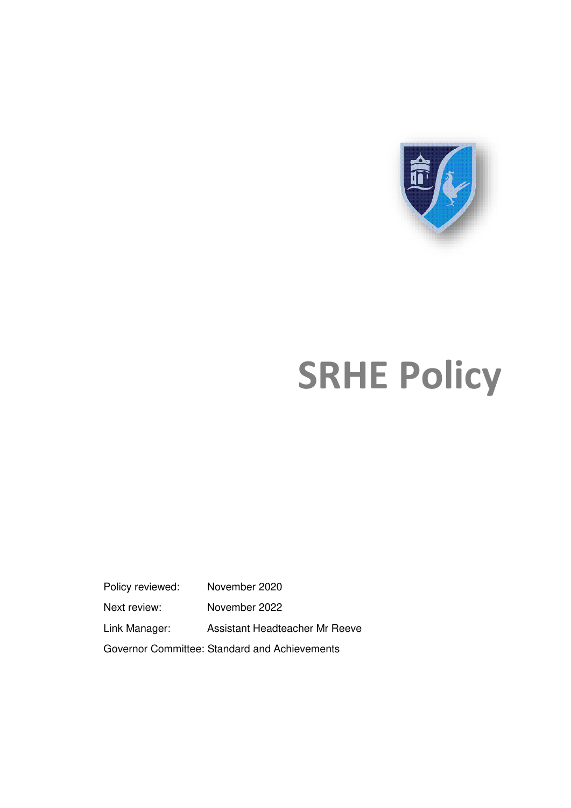

# **SRHE Policy**

Policy reviewed: November 2020 Next review: November 2022 Link Manager: Assistant Headteacher Mr Reeve Governor Committee: Standard and Achievements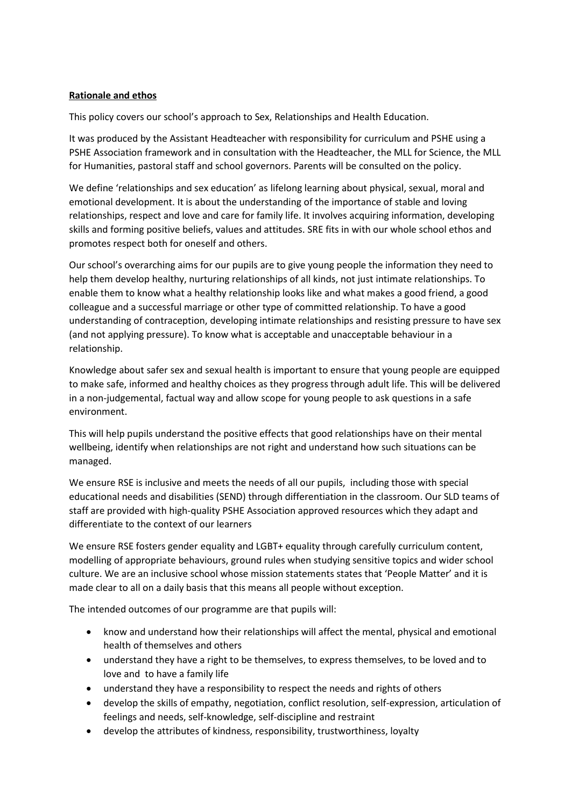# **Rationale and ethos**

This policy covers our school's approach to Sex, Relationships and Health Education.

It was produced by the Assistant Headteacher with responsibility for curriculum and PSHE using a PSHE Association framework and in consultation with the Headteacher, the MLL for Science, the MLL for Humanities, pastoral staff and school governors. Parents will be consulted on the policy.

We define 'relationships and sex education' as lifelong learning about physical, sexual, moral and emotional development. It is about the understanding of the importance of stable and loving relationships, respect and love and care for family life. It involves acquiring information, developing skills and forming positive beliefs, values and attitudes. SRE fits in with our whole school ethos and promotes respect both for oneself and others.

Our school's overarching aims for our pupils are to give young people the information they need to help them develop healthy, nurturing relationships of all kinds, not just intimate relationships. To enable them to know what a healthy relationship looks like and what makes a good friend, a good colleague and a successful marriage or other type of committed relationship. To have a good understanding of contraception, developing intimate relationships and resisting pressure to have sex (and not applying pressure). To know what is acceptable and unacceptable behaviour in a relationship.

Knowledge about safer sex and sexual health is important to ensure that young people are equipped to make safe, informed and healthy choices as they progress through adult life. This will be delivered in a non-judgemental, factual way and allow scope for young people to ask questions in a safe environment.

This will help pupils understand the positive effects that good relationships have on their mental wellbeing, identify when relationships are not right and understand how such situations can be managed.

We ensure RSE is inclusive and meets the needs of all our pupils, including those with special educational needs and disabilities (SEND) through differentiation in the classroom. Our SLD teams of staff are provided with high-quality PSHE Association approved resources which they adapt and differentiate to the context of our learners

We ensure RSE fosters gender equality and LGBT+ equality through carefully curriculum content, modelling of appropriate behaviours, ground rules when studying sensitive topics and wider school culture. We are an inclusive school whose mission statements states that 'People Matter' and it is made clear to all on a daily basis that this means all people without exception.

The intended outcomes of our programme are that pupils will:

- know and understand how their relationships will affect the mental, physical and emotional health of themselves and others
- understand they have a right to be themselves, to express themselves, to be loved and to love and to have a family life
- understand they have a responsibility to respect the needs and rights of others
- develop the skills of empathy, negotiation, conflict resolution, self-expression, articulation of feelings and needs, self-knowledge, self-discipline and restraint
- develop the attributes of kindness, responsibility, trustworthiness, loyalty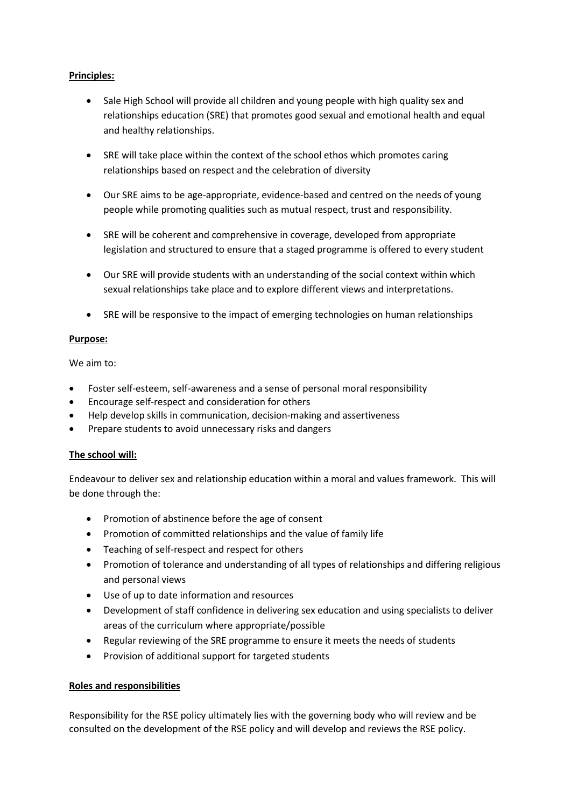# **Principles:**

- Sale High School will provide all children and young people with high quality sex and relationships education (SRE) that promotes good sexual and emotional health and equal and healthy relationships.
- SRE will take place within the context of the school ethos which promotes caring relationships based on respect and the celebration of diversity
- Our SRE aims to be age-appropriate, evidence-based and centred on the needs of young people while promoting qualities such as mutual respect, trust and responsibility.
- SRE will be coherent and comprehensive in coverage, developed from appropriate legislation and structured to ensure that a staged programme is offered to every student
- Our SRE will provide students with an understanding of the social context within which sexual relationships take place and to explore different views and interpretations.
- SRE will be responsive to the impact of emerging technologies on human relationships

# **Purpose:**

We aim to:

- Foster self-esteem, self-awareness and a sense of personal moral responsibility
- Encourage self-respect and consideration for others
- Help develop skills in communication, decision-making and assertiveness
- Prepare students to avoid unnecessary risks and dangers

# **The school will:**

Endeavour to deliver sex and relationship education within a moral and values framework. This will be done through the:

- Promotion of abstinence before the age of consent
- Promotion of committed relationships and the value of family life
- Teaching of self-respect and respect for others
- Promotion of tolerance and understanding of all types of relationships and differing religious and personal views
- Use of up to date information and resources
- Development of staff confidence in delivering sex education and using specialists to deliver areas of the curriculum where appropriate/possible
- Regular reviewing of the SRE programme to ensure it meets the needs of students
- Provision of additional support for targeted students

# **Roles and responsibilities**

Responsibility for the RSE policy ultimately lies with the governing body who will review and be consulted on the development of the RSE policy and will develop and reviews the RSE policy.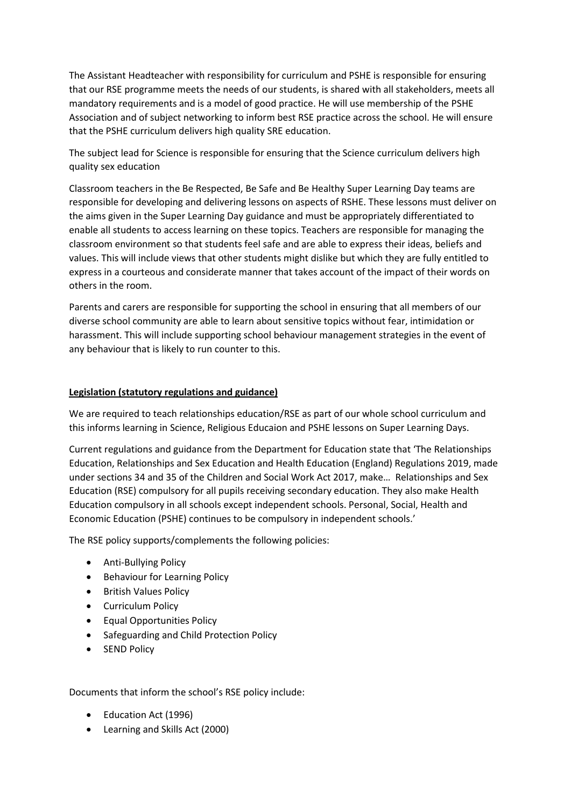The Assistant Headteacher with responsibility for curriculum and PSHE is responsible for ensuring that our RSE programme meets the needs of our students, is shared with all stakeholders, meets all mandatory requirements and is a model of good practice. He will use membership of the PSHE Association and of subject networking to inform best RSE practice across the school. He will ensure that the PSHE curriculum delivers high quality SRE education.

The subject lead for Science is responsible for ensuring that the Science curriculum delivers high quality sex education

Classroom teachers in the Be Respected, Be Safe and Be Healthy Super Learning Day teams are responsible for developing and delivering lessons on aspects of RSHE. These lessons must deliver on the aims given in the Super Learning Day guidance and must be appropriately differentiated to enable all students to access learning on these topics. Teachers are responsible for managing the classroom environment so that students feel safe and are able to express their ideas, beliefs and values. This will include views that other students might dislike but which they are fully entitled to express in a courteous and considerate manner that takes account of the impact of their words on others in the room.

Parents and carers are responsible for supporting the school in ensuring that all members of our diverse school community are able to learn about sensitive topics without fear, intimidation or harassment. This will include supporting school behaviour management strategies in the event of any behaviour that is likely to run counter to this.

# **Legislation (statutory regulations and guidance)**

We are required to teach relationships education/RSE as part of our whole school curriculum and this informs learning in Science, Religious Educaion and PSHE lessons on Super Learning Days.

Current regulations and guidance from the Department for Education state that 'The Relationships Education, Relationships and Sex Education and Health Education (England) Regulations 2019, made under sections 34 and 35 of the Children and Social Work Act 2017, make… Relationships and Sex Education (RSE) compulsory for all pupils receiving secondary education. They also make Health Education compulsory in all schools except independent schools. Personal, Social, Health and Economic Education (PSHE) continues to be compulsory in independent schools.'

The RSE policy supports/complements the following policies:

- Anti-Bullying Policy
- Behaviour for Learning Policy
- **•** British Values Policy
- Curriculum Policy
- Equal Opportunities Policy
- Safeguarding and Child Protection Policy
- SEND Policy

Documents that inform the school's RSE policy include:

- Education Act (1996)
- Learning and Skills Act (2000)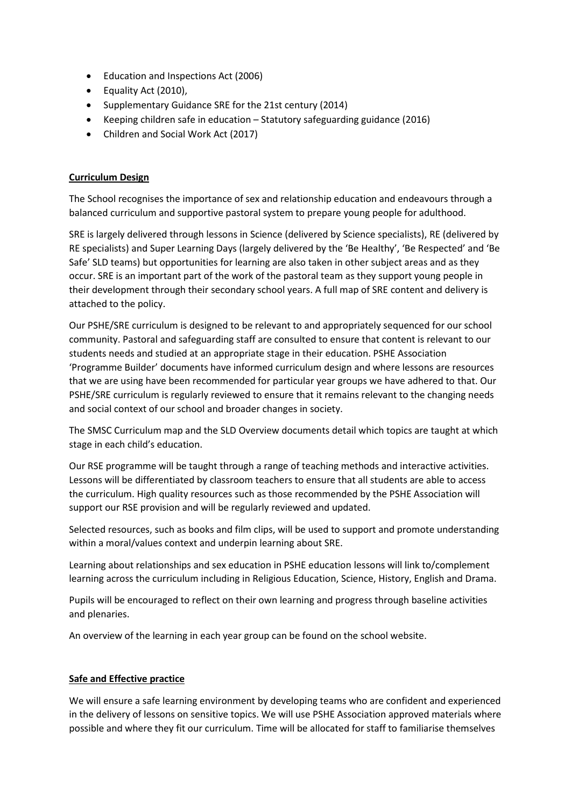- Education and Inspections Act (2006)
- Equality Act (2010),
- Supplementary Guidance SRE for the 21st century (2014)
- Keeping children safe in education Statutory safeguarding guidance (2016)
- Children and Social Work Act (2017)

# **Curriculum Design**

The School recognises the importance of sex and relationship education and endeavours through a balanced curriculum and supportive pastoral system to prepare young people for adulthood.

SRE is largely delivered through lessons in Science (delivered by Science specialists), RE (delivered by RE specialists) and Super Learning Days (largely delivered by the 'Be Healthy', 'Be Respected' and 'Be Safe' SLD teams) but opportunities for learning are also taken in other subject areas and as they occur. SRE is an important part of the work of the pastoral team as they support young people in their development through their secondary school years. A full map of SRE content and delivery is attached to the policy.

Our PSHE/SRE curriculum is designed to be relevant to and appropriately sequenced for our school community. Pastoral and safeguarding staff are consulted to ensure that content is relevant to our students needs and studied at an appropriate stage in their education. PSHE Association 'Programme Builder' documents have informed curriculum design and where lessons are resources that we are using have been recommended for particular year groups we have adhered to that. Our PSHE/SRE curriculum is regularly reviewed to ensure that it remains relevant to the changing needs and social context of our school and broader changes in society.

The SMSC Curriculum map and the SLD Overview documents detail which topics are taught at which stage in each child's education.

Our RSE programme will be taught through a range of teaching methods and interactive activities. Lessons will be differentiated by classroom teachers to ensure that all students are able to access the curriculum. High quality resources such as those recommended by the PSHE Association will support our RSE provision and will be regularly reviewed and updated.

Selected resources, such as books and film clips, will be used to support and promote understanding within a moral/values context and underpin learning about SRE.

Learning about relationships and sex education in PSHE education lessons will link to/complement learning across the curriculum including in Religious Education, Science, History, English and Drama.

Pupils will be encouraged to reflect on their own learning and progress through baseline activities and plenaries.

An overview of the learning in each year group can be found on the school website.

# **Safe and Effective practice**

We will ensure a safe learning environment by developing teams who are confident and experienced in the delivery of lessons on sensitive topics. We will use PSHE Association approved materials where possible and where they fit our curriculum. Time will be allocated for staff to familiarise themselves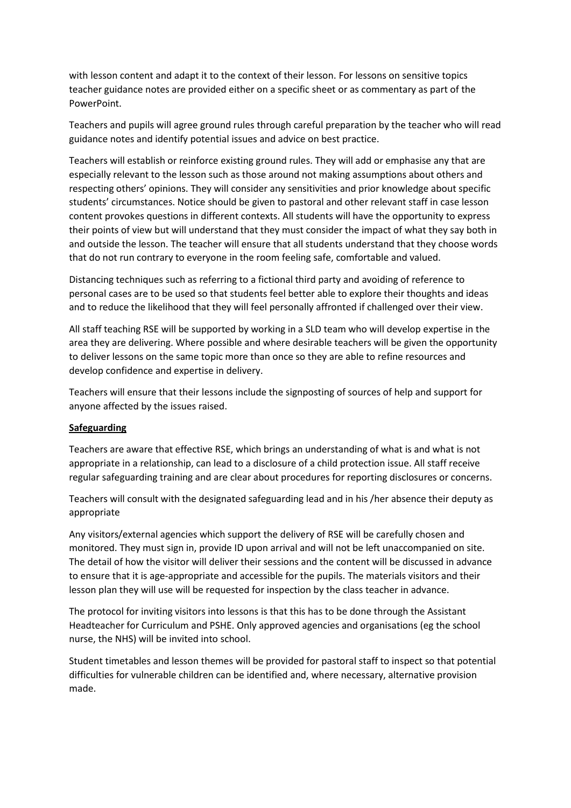with lesson content and adapt it to the context of their lesson. For lessons on sensitive topics teacher guidance notes are provided either on a specific sheet or as commentary as part of the PowerPoint.

Teachers and pupils will agree ground rules through careful preparation by the teacher who will read guidance notes and identify potential issues and advice on best practice.

Teachers will establish or reinforce existing ground rules. They will add or emphasise any that are especially relevant to the lesson such as those around not making assumptions about others and respecting others' opinions. They will consider any sensitivities and prior knowledge about specific students' circumstances. Notice should be given to pastoral and other relevant staff in case lesson content provokes questions in different contexts. All students will have the opportunity to express their points of view but will understand that they must consider the impact of what they say both in and outside the lesson. The teacher will ensure that all students understand that they choose words that do not run contrary to everyone in the room feeling safe, comfortable and valued.

Distancing techniques such as referring to a fictional third party and avoiding of reference to personal cases are to be used so that students feel better able to explore their thoughts and ideas and to reduce the likelihood that they will feel personally affronted if challenged over their view.

All staff teaching RSE will be supported by working in a SLD team who will develop expertise in the area they are delivering. Where possible and where desirable teachers will be given the opportunity to deliver lessons on the same topic more than once so they are able to refine resources and develop confidence and expertise in delivery.

Teachers will ensure that their lessons include the signposting of sources of help and support for anyone affected by the issues raised.

#### **Safeguarding**

Teachers are aware that effective RSE, which brings an understanding of what is and what is not appropriate in a relationship, can lead to a disclosure of a child protection issue. All staff receive regular safeguarding training and are clear about procedures for reporting disclosures or concerns.

Teachers will consult with the designated safeguarding lead and in his /her absence their deputy as appropriate

Any visitors/external agencies which support the delivery of RSE will be carefully chosen and monitored. They must sign in, provide ID upon arrival and will not be left unaccompanied on site. The detail of how the visitor will deliver their sessions and the content will be discussed in advance to ensure that it is age-appropriate and accessible for the pupils. The materials visitors and their lesson plan they will use will be requested for inspection by the class teacher in advance.

The protocol for inviting visitors into lessons is that this has to be done through the Assistant Headteacher for Curriculum and PSHE. Only approved agencies and organisations (eg the school nurse, the NHS) will be invited into school.

Student timetables and lesson themes will be provided for pastoral staff to inspect so that potential difficulties for vulnerable children can be identified and, where necessary, alternative provision made.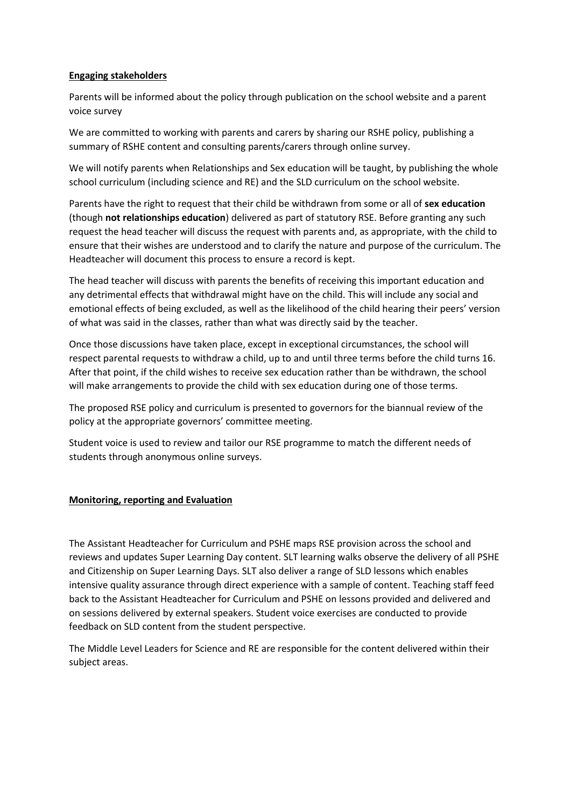#### **Engaging stakeholders**

Parents will be informed about the policy through publication on the school website and a parent voice survey

We are committed to working with parents and carers by sharing our RSHE policy, publishing a summary of RSHE content and consulting parents/carers through online survey.

We will notify parents when Relationships and Sex education will be taught, by publishing the whole school curriculum (including science and RE) and the SLD curriculum on the school website.

Parents have the right to request that their child be withdrawn from some or all of **sex education** (though **not relationships education**) delivered as part of statutory RSE. Before granting any such request the head teacher will discuss the request with parents and, as appropriate, with the child to ensure that their wishes are understood and to clarify the nature and purpose of the curriculum. The Headteacher will document this process to ensure a record is kept.

The head teacher will discuss with parents the benefits of receiving this important education and any detrimental effects that withdrawal might have on the child. This will include any social and emotional effects of being excluded, as well as the likelihood of the child hearing their peers' version of what was said in the classes, rather than what was directly said by the teacher.

Once those discussions have taken place, except in exceptional circumstances, the school will respect parental requests to withdraw a child, up to and until three terms before the child turns 16. After that point, if the child wishes to receive sex education rather than be withdrawn, the school will make arrangements to provide the child with sex education during one of those terms.

The proposed RSE policy and curriculum is presented to governors for the biannual review of the policy at the appropriate governors' committee meeting.

Student voice is used to review and tailor our RSE programme to match the different needs of students through anonymous online surveys.

#### **Monitoring, reporting and Evaluation**

The Assistant Headteacher for Curriculum and PSHE maps RSE provision across the school and reviews and updates Super Learning Day content. SLT learning walks observe the delivery of all PSHE and Citizenship on Super Learning Days. SLT also deliver a range of SLD lessons which enables intensive quality assurance through direct experience with a sample of content. Teaching staff feed back to the Assistant Headteacher for Curriculum and PSHE on lessons provided and delivered and on sessions delivered by external speakers. Student voice exercises are conducted to provide feedback on SLD content from the student perspective.

The Middle Level Leaders for Science and RE are responsible for the content delivered within their subject areas.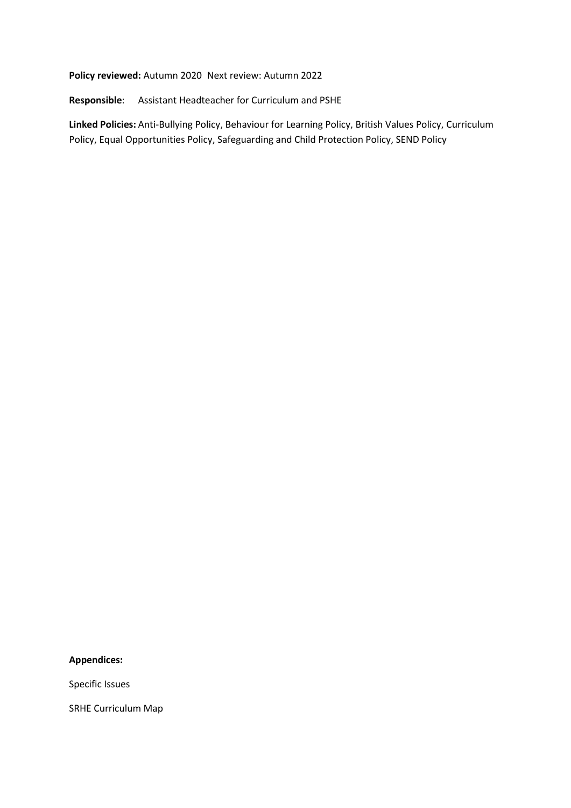**Policy reviewed:** Autumn 2020 Next review: Autumn 2022

**Responsible**: Assistant Headteacher for Curriculum and PSHE

**Linked Policies:** Anti-Bullying Policy, Behaviour for Learning Policy, British Values Policy, Curriculum Policy, Equal Opportunities Policy, Safeguarding and Child Protection Policy, SEND Policy

#### **Appendices:**

Specific Issues

SRHE Curriculum Map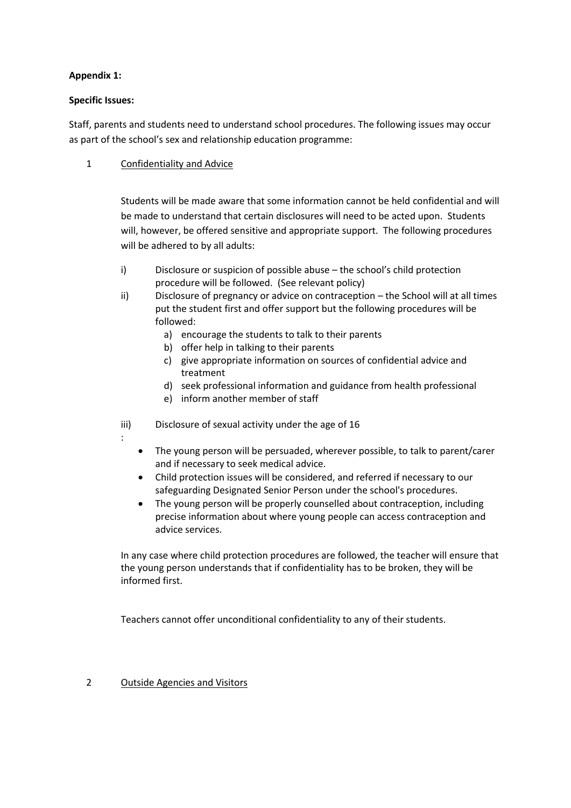# **Appendix 1:**

#### **Specific Issues:**

Staff, parents and students need to understand school procedures. The following issues may occur as part of the school's sex and relationship education programme:

1 Confidentiality and Advice

Students will be made aware that some information cannot be held confidential and will be made to understand that certain disclosures will need to be acted upon. Students will, however, be offered sensitive and appropriate support. The following procedures will be adhered to by all adults:

- i) Disclosure or suspicion of possible abuse the school's child protection procedure will be followed. (See relevant policy)
- ii) Disclosure of pregnancy or advice on contraception the School will at all times put the student first and offer support but the following procedures will be followed:
	- a) encourage the students to talk to their parents
	- b) offer help in talking to their parents
	- c) give appropriate information on sources of confidential advice and treatment
	- d) seek professional information and guidance from health professional
	- e) inform another member of staff
- iii) Disclosure of sexual activity under the age of 16
- :
- The young person will be persuaded, wherever possible, to talk to parent/carer and if necessary to seek medical advice.
- Child protection issues will be considered, and referred if necessary to our safeguarding Designated Senior Person under the school's procedures.
- The young person will be properly counselled about contraception, including precise information about where young people can access contraception and advice services.

In any case where child protection procedures are followed, the teacher will ensure that the young person understands that if confidentiality has to be broken, they will be informed first.

Teachers cannot offer unconditional confidentiality to any of their students.

#### 2 Outside Agencies and Visitors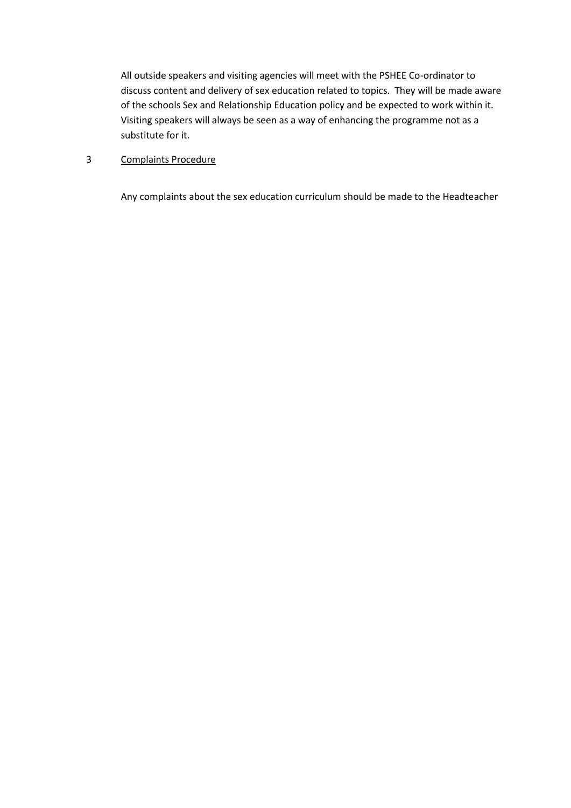All outside speakers and visiting agencies will meet with the PSHEE Co-ordinator to discuss content and delivery of sex education related to topics. They will be made aware of the schools Sex and Relationship Education policy and be expected to work within it. Visiting speakers will always be seen as a way of enhancing the programme not as a substitute for it.

# 3 Complaints Procedure

Any complaints about the sex education curriculum should be made to the Headteacher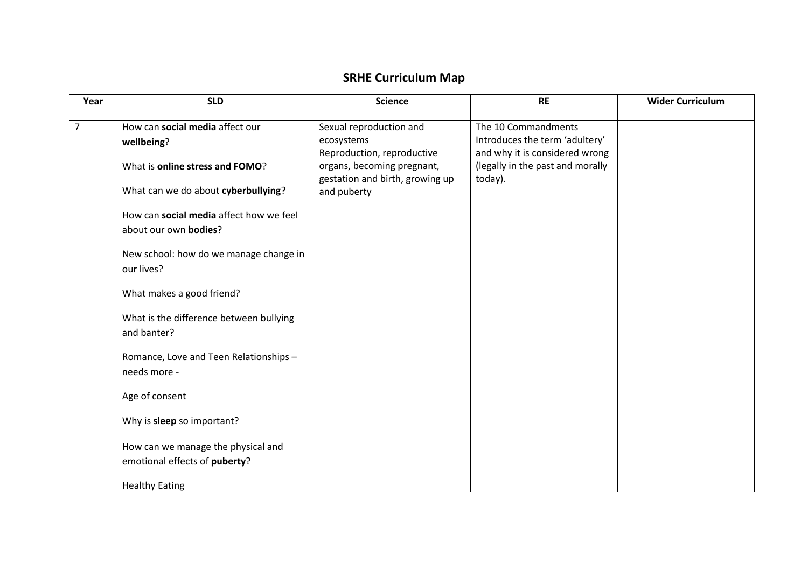# **SRHE Curriculum Map**

| Year | <b>SLD</b>                              | <b>Science</b>                  | <b>RE</b>                        | <b>Wider Curriculum</b> |
|------|-----------------------------------------|---------------------------------|----------------------------------|-------------------------|
| 7    | How can social media affect our         | Sexual reproduction and         | The 10 Commandments              |                         |
|      | wellbeing?                              | ecosystems                      | Introduces the term 'adultery'   |                         |
|      |                                         | Reproduction, reproductive      | and why it is considered wrong   |                         |
|      | What is online stress and FOMO?         | organs, becoming pregnant,      | (legally in the past and morally |                         |
|      |                                         | gestation and birth, growing up | today).                          |                         |
|      | What can we do about cyberbullying?     | and puberty                     |                                  |                         |
|      | How can social media affect how we feel |                                 |                                  |                         |
|      | about our own bodies?                   |                                 |                                  |                         |
|      |                                         |                                 |                                  |                         |
|      | New school: how do we manage change in  |                                 |                                  |                         |
|      | our lives?                              |                                 |                                  |                         |
|      | What makes a good friend?               |                                 |                                  |                         |
|      |                                         |                                 |                                  |                         |
|      | What is the difference between bullying |                                 |                                  |                         |
|      | and banter?                             |                                 |                                  |                         |
|      | Romance, Love and Teen Relationships -  |                                 |                                  |                         |
|      | needs more -                            |                                 |                                  |                         |
|      |                                         |                                 |                                  |                         |
|      | Age of consent                          |                                 |                                  |                         |
|      | Why is sleep so important?              |                                 |                                  |                         |
|      |                                         |                                 |                                  |                         |
|      | How can we manage the physical and      |                                 |                                  |                         |
|      | emotional effects of puberty?           |                                 |                                  |                         |
|      |                                         |                                 |                                  |                         |
|      | <b>Healthy Eating</b>                   |                                 |                                  |                         |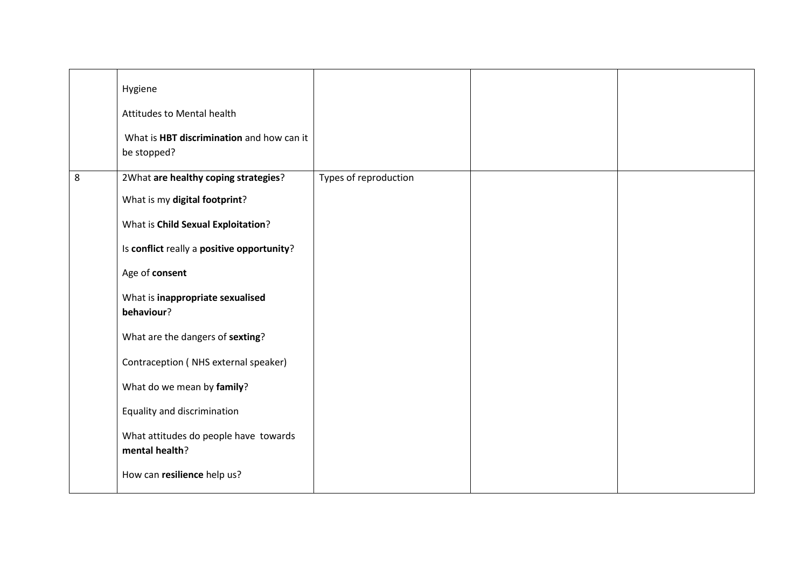|   | Hygiene<br>Attitudes to Mental health<br>What is HBT discrimination and how can it<br>be stopped? |                       |  |
|---|---------------------------------------------------------------------------------------------------|-----------------------|--|
| 8 | 2What are healthy coping strategies?                                                              | Types of reproduction |  |
|   | What is my digital footprint?                                                                     |                       |  |
|   | What is Child Sexual Exploitation?                                                                |                       |  |
|   | Is conflict really a positive opportunity?                                                        |                       |  |
|   | Age of consent                                                                                    |                       |  |
|   | What is inappropriate sexualised<br>behaviour?                                                    |                       |  |
|   | What are the dangers of sexting?                                                                  |                       |  |
|   | Contraception (NHS external speaker)                                                              |                       |  |
|   | What do we mean by family?                                                                        |                       |  |
|   | Equality and discrimination                                                                       |                       |  |
|   | What attitudes do people have towards<br>mental health?                                           |                       |  |
|   | How can resilience help us?                                                                       |                       |  |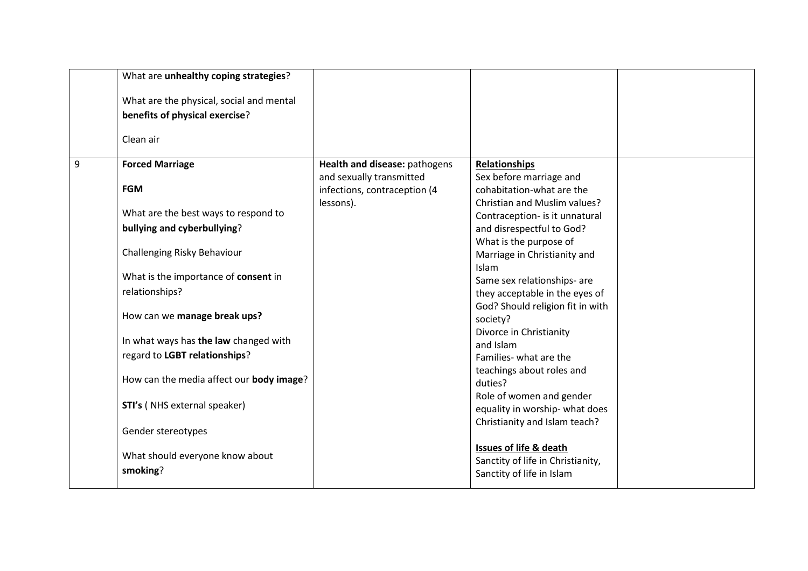|   | What are unhealthy coping strategies?    |                               |                                                                |  |
|---|------------------------------------------|-------------------------------|----------------------------------------------------------------|--|
|   | What are the physical, social and mental |                               |                                                                |  |
|   | benefits of physical exercise?           |                               |                                                                |  |
|   | Clean air                                |                               |                                                                |  |
| 9 | <b>Forced Marriage</b>                   | Health and disease: pathogens | <b>Relationships</b>                                           |  |
|   | <b>FGM</b>                               | and sexually transmitted      | Sex before marriage and                                        |  |
|   |                                          | infections, contraception (4  | cohabitation-what are the                                      |  |
|   | What are the best ways to respond to     | lessons).                     | Christian and Muslim values?                                   |  |
|   | bullying and cyberbullying?              |                               | Contraception- is it unnatural<br>and disrespectful to God?    |  |
|   |                                          |                               | What is the purpose of                                         |  |
|   | Challenging Risky Behaviour              |                               | Marriage in Christianity and                                   |  |
|   |                                          |                               | Islam                                                          |  |
|   | What is the importance of consent in     |                               | Same sex relationships- are                                    |  |
|   | relationships?                           |                               | they acceptable in the eyes of                                 |  |
|   |                                          |                               | God? Should religion fit in with                               |  |
|   | How can we manage break ups?             |                               | society?                                                       |  |
|   |                                          |                               | Divorce in Christianity                                        |  |
|   | In what ways has the law changed with    |                               | and Islam                                                      |  |
|   | regard to LGBT relationships?            |                               | Families- what are the                                         |  |
|   |                                          |                               | teachings about roles and                                      |  |
|   | How can the media affect our body image? |                               | duties?                                                        |  |
|   | STI's (NHS external speaker)             |                               | Role of women and gender                                       |  |
|   |                                          |                               | equality in worship- what does                                 |  |
|   | Gender stereotypes                       |                               | Christianity and Islam teach?                                  |  |
|   |                                          |                               |                                                                |  |
|   | What should everyone know about          |                               | <b>Issues of life &amp; death</b>                              |  |
|   | smoking?                                 |                               | Sanctity of life in Christianity,<br>Sanctity of life in Islam |  |
|   |                                          |                               |                                                                |  |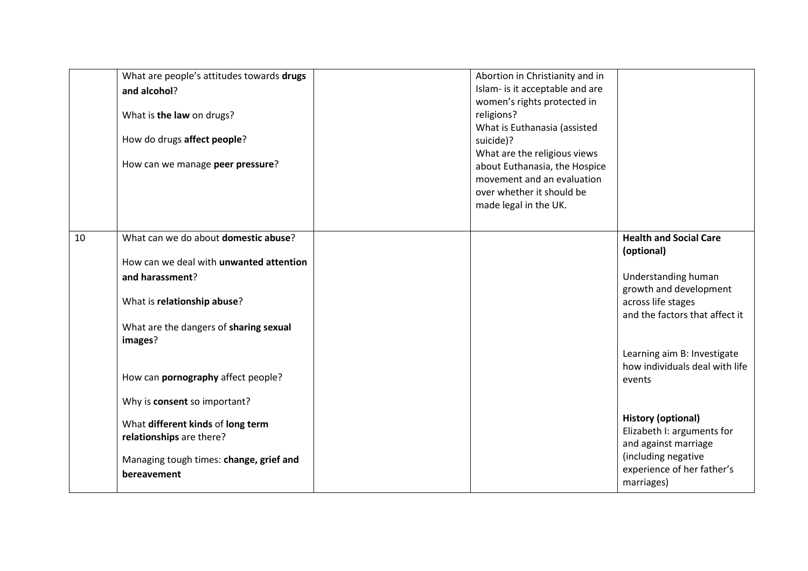| What are people's attitudes towards drugs<br>and alcohol?<br>What is the law on drugs?<br>How do drugs affect people?<br>How can we manage peer pressure?                                                                                                                                                                                                                                     | Abortion in Christianity and in<br>Islam- is it acceptable and are<br>women's rights protected in<br>religions?<br>What is Euthanasia (assisted<br>suicide)?<br>What are the religious views<br>about Euthanasia, the Hospice<br>movement and an evaluation<br>over whether it should be<br>made legal in the UK. |                                                                                                                                                                                                                                                                                                                                                                         |
|-----------------------------------------------------------------------------------------------------------------------------------------------------------------------------------------------------------------------------------------------------------------------------------------------------------------------------------------------------------------------------------------------|-------------------------------------------------------------------------------------------------------------------------------------------------------------------------------------------------------------------------------------------------------------------------------------------------------------------|-------------------------------------------------------------------------------------------------------------------------------------------------------------------------------------------------------------------------------------------------------------------------------------------------------------------------------------------------------------------------|
| What can we do about domestic abuse?<br>10<br>How can we deal with unwanted attention<br>and harassment?<br>What is relationship abuse?<br>What are the dangers of sharing sexual<br>images?<br>How can pornography affect people?<br>Why is consent so important?<br>What different kinds of long term<br>relationships are there?<br>Managing tough times: change, grief and<br>bereavement |                                                                                                                                                                                                                                                                                                                   | <b>Health and Social Care</b><br>(optional)<br>Understanding human<br>growth and development<br>across life stages<br>and the factors that affect it<br>Learning aim B: Investigate<br>how individuals deal with life<br>events<br><b>History (optional)</b><br>Elizabeth I: arguments for<br>and against marriage<br>(including negative<br>experience of her father's |